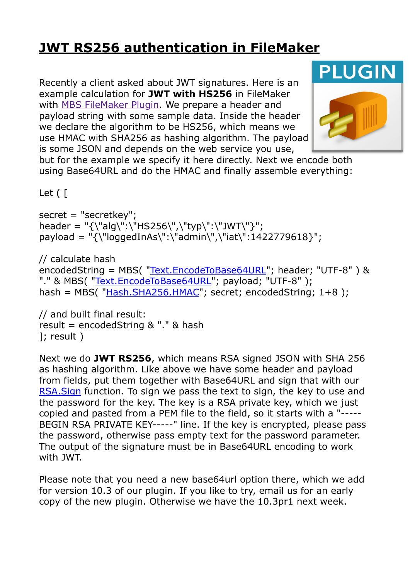## **[JWT RS256 authentication in FileMaker](https://www.mbs-plugins.com/archive/2020-05-28/JWT_RS256_authentication_in_Fi/monkeybreadsoftware_blog_filemaker)**

Recently a client asked about JWT signatures. Here is an example calculation for **JWT with HS256** in FileMaker with [MBS FileMaker Plugin.](https://www.monkeybreadsoftware.com/filemaker/) We prepare a header and payload string with some sample data. Inside the header we declare the algorithm to be HS256, which means we use HMAC with SHA256 as hashing algorithm. The payload is some JSON and depends on the web service you use,

**PLUGIN** 

but for the example we specify it here directly. Next we encode both using Base64URL and do the HMAC and finally assemble everything:

Let ( [

secret = "secretkey"; header = "{\"alg\":\"HS256\",\"typ\":\"JWT\"}"; payload = "{\"loggedInAs\":\"admin\",\"iat\":1422779618}";

// calculate hash encodedString = MBS( ["Text.EncodeToBase64URL"](https://www.mbsplugins.eu/TextEncodeToBase64URL.shtml); header; "UTF-8" ) & "." & MBS( ["Text.EncodeToBase64URL"](https://www.mbsplugins.eu/TextEncodeToBase64URL.shtml); payload; "UTF-8" ); hash =  $MBS($  ["Hash.SHA256.HMAC](https://www.mbsplugins.eu/HashSHA256HMAC.shtml)"; secret; encodedString; 1+8);

// and built final result: result = encodedString & "." & hash ]; result )

Next we do **JWT RS256**, which means RSA signed JSON with SHA 256 as hashing algorithm. Like above we have some header and payload from fields, put them together with Base64URL and sign that with our [RSA.Sign](https://www.mbsplugins.eu/RSASign.shtml) function. To sign we pass the text to sign, the key to use and the password for the key. The key is a RSA private key, which we just copied and pasted from a PEM file to the field, so it starts with a "----- BEGIN RSA PRIVATE KEY-----" line. If the key is encrypted, please pass the password, otherwise pass empty text for the password parameter. The output of the signature must be in Base64URL encoding to work with JWT.

Please note that you need a new base64url option there, which we add for version 10.3 of our plugin. If you like to try, email us for an early copy of the new plugin. Otherwise we have the 10.3pr1 next week.